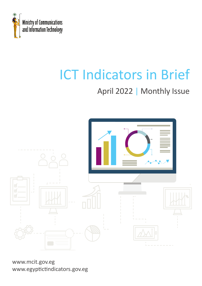

# ICT Indicators in Brief

## April 2022 | Monthly Issue



www.mcit.gov.eg www.egyptictindicators.gov.eg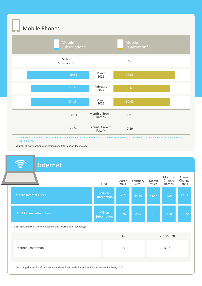Mobile Phones



\* The decrease in mobile subscriptions and penetration is attributed to following the ITU methodology of publishing the active instead of registered lines subscriptions.

**Source:** Ministry of Communications and Information Technology

## Internet

|                                                               | Unit                           | March<br>2021 | February<br>2022 | March<br>2022 | Monthly<br>Change<br>Rate % | Annual<br>Change<br>Rate % |
|---------------------------------------------------------------|--------------------------------|---------------|------------------|---------------|-----------------------------|----------------------------|
| Mobile Internet Users                                         | Million<br>Subscription        | 57.25         | 64.60            | 64.58         | $-0.03$                     | 12.81                      |
| <b>USB Modem Subscription</b>                                 | <b>Million</b><br>Subscription | 3.26          | 2.19             | 2.19          | 0.28                        | $-32.70$                   |
| Source: Ministry of Communications and Information Technology |                                |               |                  |               |                             |                            |
|                                                               |                                | Unit          |                  |               | 2019/2020                   |                            |

Internet Penetration % 57.3

According the results of "ICT Access and Use by Households and Individuals Survey for 2019/2020"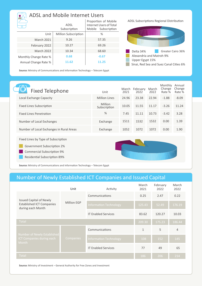| <b>ADSL and Mobile Internet Users</b> |                             |                                                                           |  |  |  |
|---------------------------------------|-----------------------------|---------------------------------------------------------------------------|--|--|--|
|                                       | ADSL<br>Subscription        | Proportion of Mobile<br>Internet Users of Total<br>Subscription<br>Mobile |  |  |  |
| Unit                                  | <b>Million Subscription</b> | $\%$                                                                      |  |  |  |
| <b>March 2021</b>                     | 9.26                        | 57.35                                                                     |  |  |  |
| February 2022                         | 10.27                       | 69.26                                                                     |  |  |  |
| <b>March 2022</b>                     | 10.34                       | 68.60                                                                     |  |  |  |
| Monthly Change Rate %                 | 0.68                        | $-0.67$                                                                   |  |  |  |
| Annual Change Rate %                  | 11.62                       | 11.25                                                                     |  |  |  |

ADSL Subscriptions Regional Distribution



Sinai, Red Sea and Suez Canal Cities 6%

**Source:** Ministry of Communications and Information Technology – Telecom Egypt

| <b>Fixed Telephone</b>                   | Unit                           | March<br>2021 | February<br>2022 | March<br>2022 | Monthly<br>Change<br>Rate % | Annual<br>Change<br>Rate % |
|------------------------------------------|--------------------------------|---------------|------------------|---------------|-----------------------------|----------------------------|
| Local Exchange Capacity                  | <b>Million Lines</b>           | 24.96         | 23.38            | 22.94         | $-1.88$                     | $-8.09$                    |
| <b>Fixed Lines Subscription</b>          | <b>Million</b><br>Subscription | 10.05         | 11.55            | 11.17         | $-3.26$                     | 11.24                      |
| <b>Fixed Lines Penetration</b>           | $\%$                           | 7.45          | 11.11            | 10.73         | $-3.42$                     | 3.28                       |
| Number of Local Exchanges                | Exchange                       | 1511          | 1532             | 1532          | 0.00                        | 1.39                       |
| Number of Local Exchanges in Rural Areas | Exchange                       | 1052          | 1072             | 1072          | 0.00                        | 1.90                       |
| Fixed Lines by Type of Subscription      |                                |               |                  |               |                             |                            |
| Government Subscription 2%               |                                |               |                  |               |                             |                            |
| <b>Commercial Subscription 9%</b>        |                                |               |                  |               |                             |                            |
| <b>Residential Subscription 89%</b>      |                                |               |                  |               |                             |                            |

**Source:** Ministry of Communications and Information Technology – Telecom Egypt

### Number of Newly Established ICT Companies and Issued Capital

|                                                                                         | Unit        | Activity                      | March<br>2021 | February<br>2022 | March<br>2022  |
|-----------------------------------------------------------------------------------------|-------------|-------------------------------|---------------|------------------|----------------|
| <b>Issued Capital of Newly</b><br><b>Established ICT Companies</b><br>during each Month | Million EGP | Communications                | 0.25          | 2.47             | 0.22           |
|                                                                                         |             | <b>Information Technology</b> | 125.43        | 52.49            | 176.19         |
|                                                                                         |             | <b>IT Enabled Services</b>    | 83.62         | 120.27           | 10.03          |
| Total                                                                                   |             |                               | 209.30        | 175.23           | 186.44         |
|                                                                                         | Companies   | Communications                | $\mathbf{1}$  | 5                | $\overline{4}$ |
| Number of Newly Established<br>ICT Companies during each<br><b>Month</b>                |             | <b>Information Technology</b> | 108           | 152              | 145            |
|                                                                                         |             | <b>IT Enabled Services</b>    | 77            | 49               | 65             |
| Total                                                                                   |             |                               | 186           | 206              | 214            |

**Source:** Ministry of Investment – General Authority for Free Zones and Investment